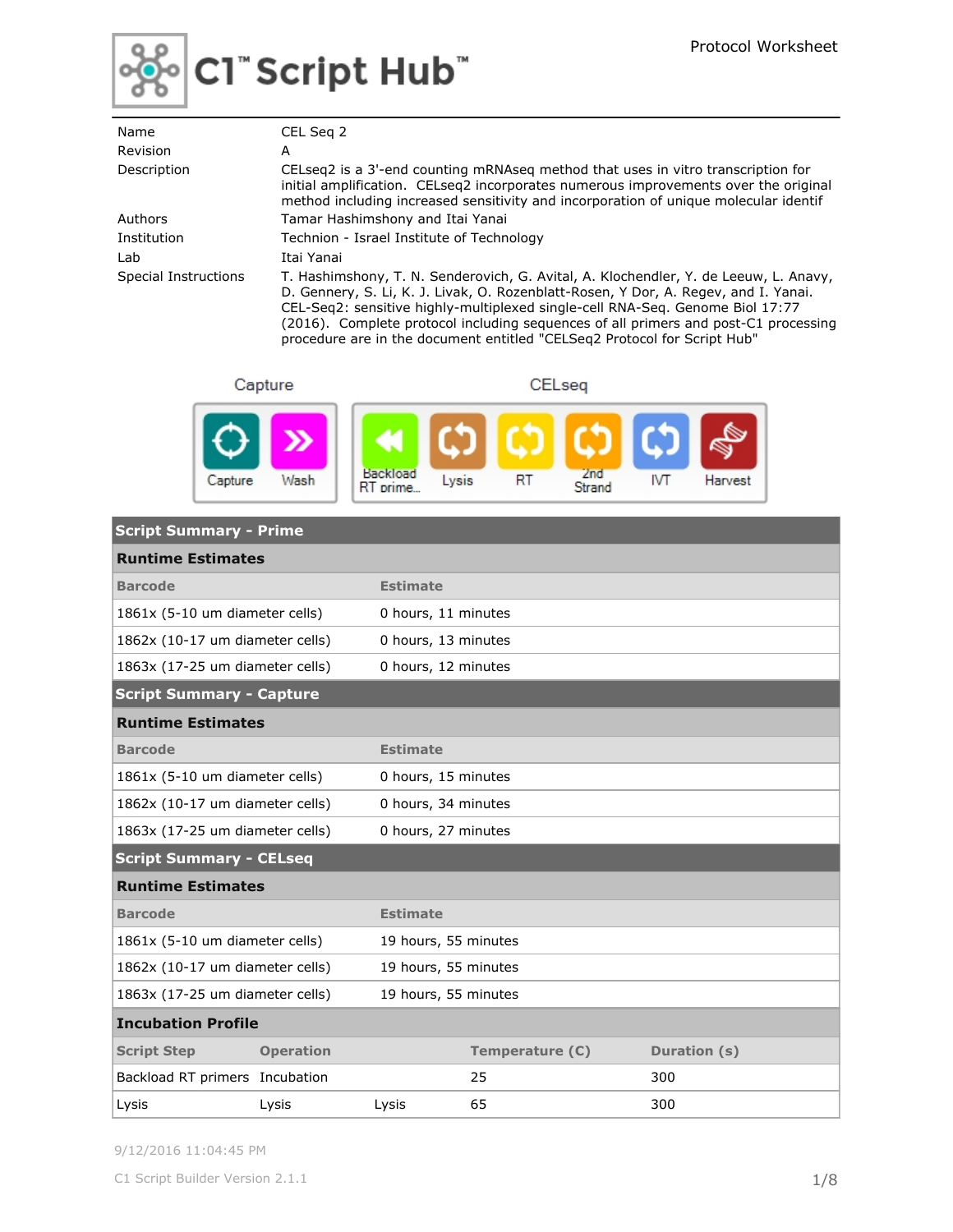

# C1"Script Hub"

| Name                 | CEL Seg 2                                                                                                                                                                                                                                                                                                                                                                                                                       |
|----------------------|---------------------------------------------------------------------------------------------------------------------------------------------------------------------------------------------------------------------------------------------------------------------------------------------------------------------------------------------------------------------------------------------------------------------------------|
| Revision             | A                                                                                                                                                                                                                                                                                                                                                                                                                               |
| Description          | CELseg2 is a 3'-end counting mRNAseg method that uses in vitro transcription for<br>initial amplification. CELseg2 incorporates numerous improvements over the original<br>method including increased sensitivity and incorporation of unique molecular identif                                                                                                                                                                 |
| Authors              | Tamar Hashimshony and Itai Yanai                                                                                                                                                                                                                                                                                                                                                                                                |
| Institution          | Technion - Israel Institute of Technology                                                                                                                                                                                                                                                                                                                                                                                       |
| Lab                  | Itai Yanai                                                                                                                                                                                                                                                                                                                                                                                                                      |
| Special Instructions | T. Hashimshony, T. N. Senderovich, G. Avital, A. Klochendler, Y. de Leeuw, L. Anavy,<br>D. Gennery, S. Li, K. J. Livak, O. Rozenblatt-Rosen, Y Dor, A. Regev, and I. Yanai.<br>CEL-Seg2: sensitive highly-multiplexed single-cell RNA-Seg. Genome Biol 17:77<br>(2016). Complete protocol including sequences of all primers and post-C1 processing<br>procedure are in the document entitled "CELSeg2 Protocol for Script Hub" |

Capture

CELseq



| <b>Script Summary - Prime</b>   |                                                        |                      |                 |              |
|---------------------------------|--------------------------------------------------------|----------------------|-----------------|--------------|
| <b>Runtime Estimates</b>        |                                                        |                      |                 |              |
| <b>Barcode</b>                  |                                                        | <b>Estimate</b>      |                 |              |
| 1861x (5-10 um diameter cells)  |                                                        | 0 hours, 11 minutes  |                 |              |
| 1862x (10-17 um diameter cells) |                                                        | 0 hours, 13 minutes  |                 |              |
| 1863x (17-25 um diameter cells) |                                                        | 0 hours, 12 minutes  |                 |              |
| <b>Script Summary - Capture</b> |                                                        |                      |                 |              |
| <b>Runtime Estimates</b>        |                                                        |                      |                 |              |
| <b>Barcode</b>                  |                                                        | <b>Estimate</b>      |                 |              |
| 1861x (5-10 um diameter cells)  |                                                        | 0 hours, 15 minutes  |                 |              |
|                                 | 1862x (10-17 um diameter cells)<br>0 hours, 34 minutes |                      |                 |              |
| 1863x (17-25 um diameter cells) |                                                        | 0 hours, 27 minutes  |                 |              |
| <b>Script Summary - CELseq</b>  |                                                        |                      |                 |              |
| <b>Runtime Estimates</b>        |                                                        |                      |                 |              |
| <b>Barcode</b>                  |                                                        | <b>Estimate</b>      |                 |              |
| 1861x (5-10 um diameter cells)  |                                                        | 19 hours, 55 minutes |                 |              |
| 1862x (10-17 um diameter cells) |                                                        | 19 hours, 55 minutes |                 |              |
| 1863x (17-25 um diameter cells) |                                                        | 19 hours, 55 minutes |                 |              |
| <b>Incubation Profile</b>       |                                                        |                      |                 |              |
| <b>Script Step</b>              | <b>Operation</b>                                       |                      | Temperature (C) | Duration (s) |
| Backload RT primers Incubation  |                                                        |                      | 25              | 300          |
| Lysis                           | Lysis                                                  | Lysis                | 65              | 300          |

9/12/2016 11:04:45 PM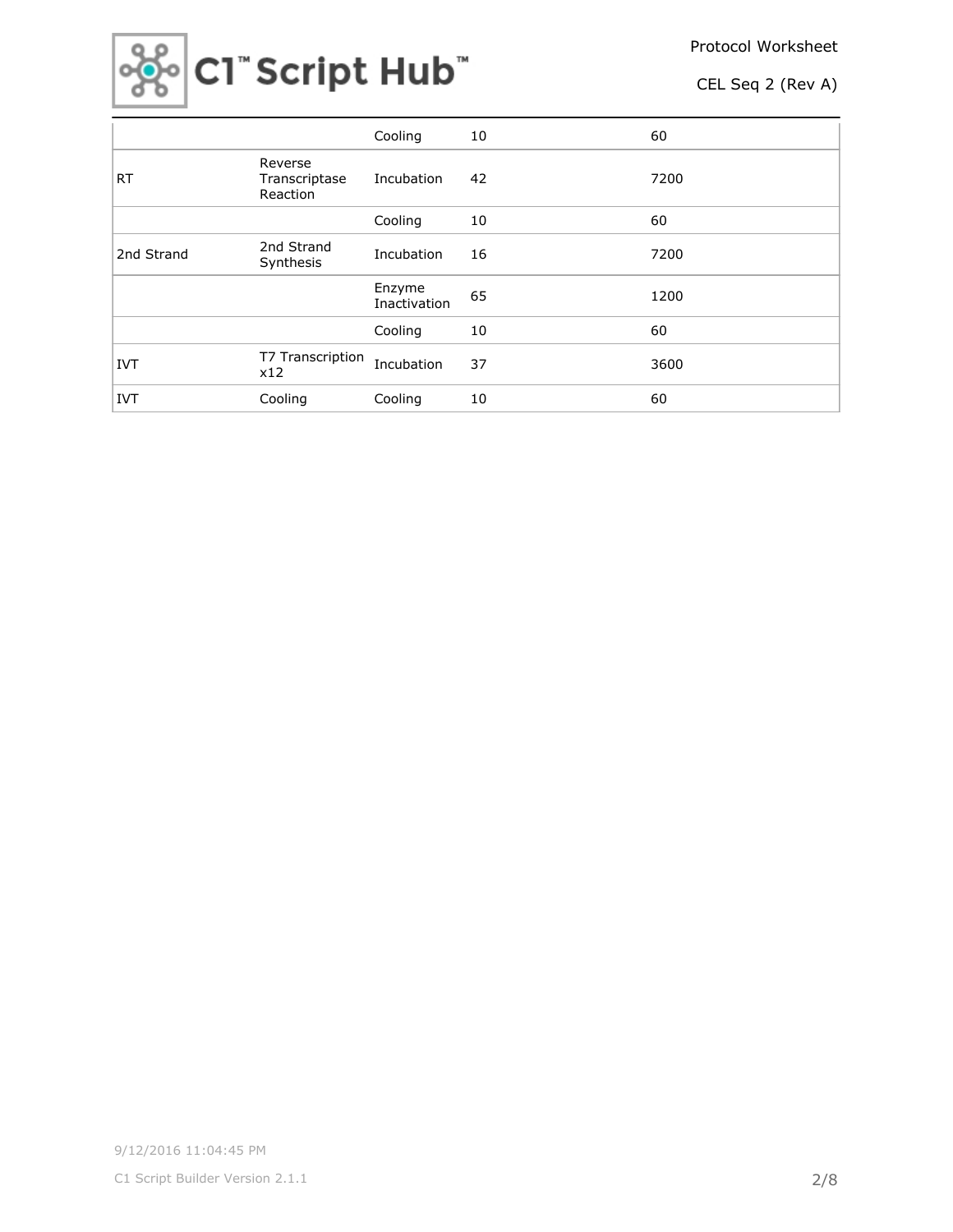

|            |                                      | Cooling                | 10 | 60   |
|------------|--------------------------------------|------------------------|----|------|
| <b>RT</b>  | Reverse<br>Transcriptase<br>Reaction | Incubation             | 42 | 7200 |
|            |                                      | Cooling                | 10 | 60   |
| 2nd Strand | 2nd Strand<br>Synthesis              | Incubation             | 16 | 7200 |
|            |                                      | Enzyme<br>Inactivation | 65 | 1200 |
|            |                                      | Cooling                | 10 | 60   |
| <b>IVT</b> | T7 Transcription<br>x12              | Incubation             | 37 | 3600 |
| <b>IVT</b> | Cooling                              | Cooling                | 10 | 60   |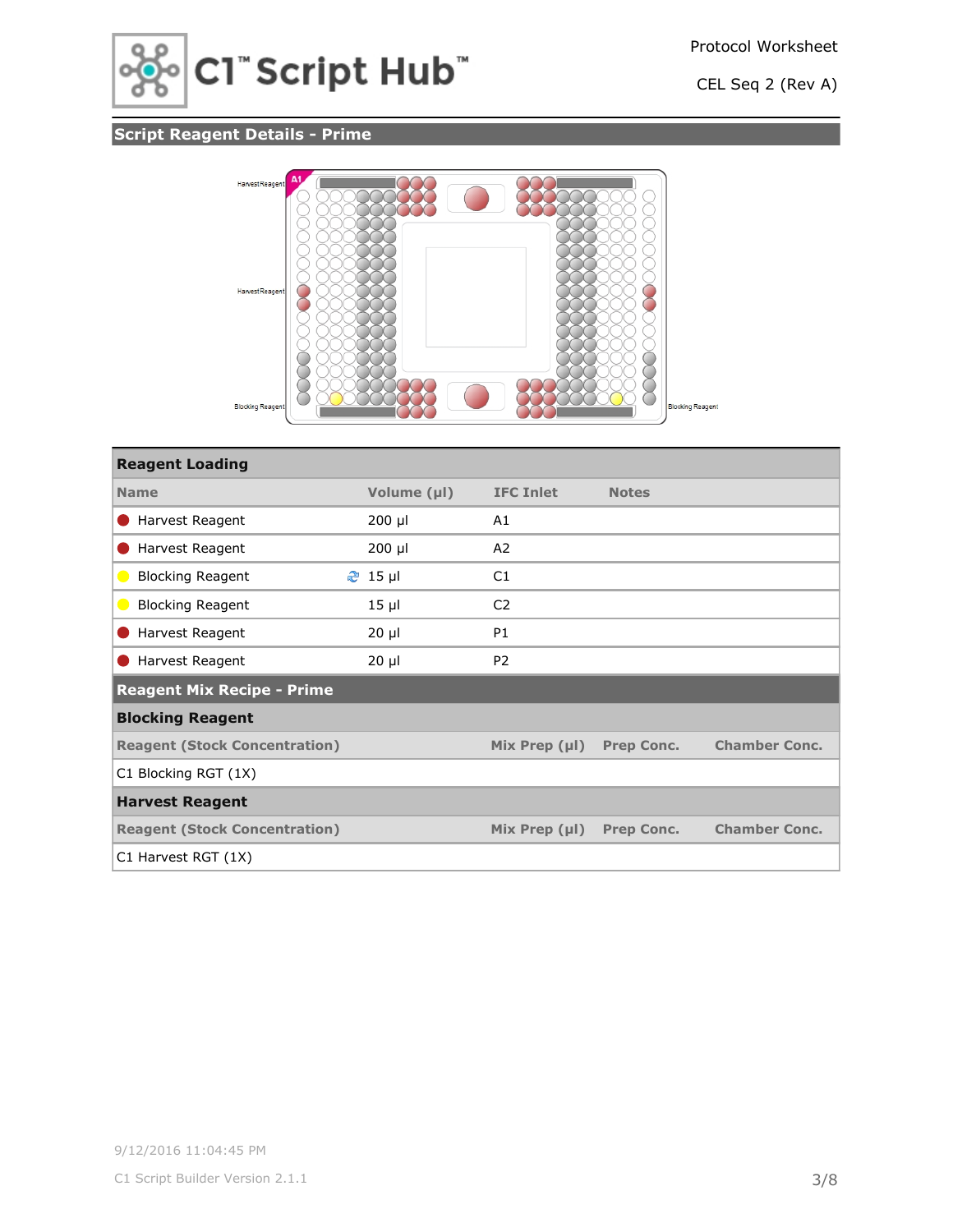

## **Script Reagent Details - Prime**



| <b>Reagent Loading</b>               |             |                    |                   |                      |
|--------------------------------------|-------------|--------------------|-------------------|----------------------|
| <b>Name</b>                          | Volume (µl) | <b>IFC Inlet</b>   | <b>Notes</b>      |                      |
| Harvest Reagent                      | $200$ µl    | A1                 |                   |                      |
| Harvest Reagent                      | $200$ µl    | A <sub>2</sub>     |                   |                      |
| <b>Blocking Reagent</b>              | $2$ 15 µl   | C1                 |                   |                      |
| <b>Blocking Reagent</b>              | $15$ $\mu$  | C <sub>2</sub>     |                   |                      |
| Harvest Reagent                      | $20 \mu$    | P <sub>1</sub>     |                   |                      |
| Harvest Reagent                      | $20 \mu$    | P <sub>2</sub>     |                   |                      |
| <b>Reagent Mix Recipe - Prime</b>    |             |                    |                   |                      |
| <b>Blocking Reagent</b>              |             |                    |                   |                      |
| <b>Reagent (Stock Concentration)</b> |             | Mix Prep $(\mu I)$ | <b>Prep Conc.</b> | <b>Chamber Conc.</b> |
| C1 Blocking RGT (1X)                 |             |                    |                   |                      |
| <b>Harvest Reagent</b>               |             |                    |                   |                      |
| <b>Reagent (Stock Concentration)</b> |             | Mix Prep $(\mu I)$ | <b>Prep Conc.</b> | <b>Chamber Conc.</b> |
| C1 Harvest RGT (1X)                  |             |                    |                   |                      |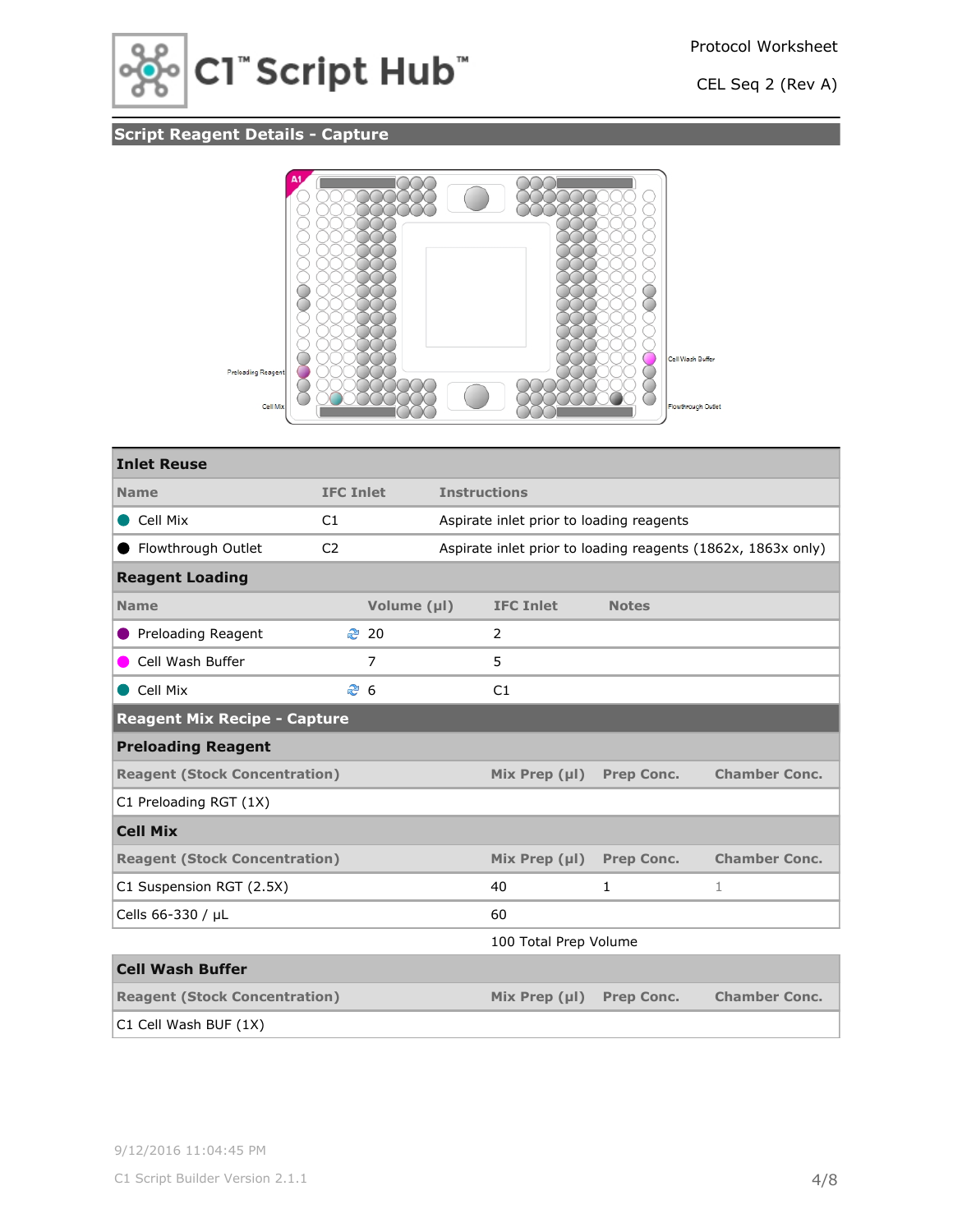

## **Script Reagent Details - Capture**



| <b>Inlet Reuse</b>                                                                                      |                  |                |                     |                                          |                   |                                                              |
|---------------------------------------------------------------------------------------------------------|------------------|----------------|---------------------|------------------------------------------|-------------------|--------------------------------------------------------------|
| <b>Name</b>                                                                                             | <b>IFC Inlet</b> |                | <b>Instructions</b> |                                          |                   |                                                              |
| Cell Mix                                                                                                | C1               |                |                     | Aspirate inlet prior to loading reagents |                   |                                                              |
| Flowthrough Outlet                                                                                      | C <sub>2</sub>   |                |                     |                                          |                   | Aspirate inlet prior to loading reagents (1862x, 1863x only) |
| <b>Reagent Loading</b>                                                                                  |                  |                |                     |                                          |                   |                                                              |
| <b>Name</b>                                                                                             |                  | Volume (µl)    |                     | <b>IFC Inlet</b>                         | <b>Notes</b>      |                                                              |
| <b>Preloading Reagent</b>                                                                               |                  | <b>₹</b> 20    |                     | 2                                        |                   |                                                              |
| Cell Wash Buffer                                                                                        |                  | $\overline{7}$ |                     | 5                                        |                   |                                                              |
| Cell Mix                                                                                                | ළ 6              |                |                     | C1                                       |                   |                                                              |
| <b>Reagent Mix Recipe - Capture</b>                                                                     |                  |                |                     |                                          |                   |                                                              |
| <b>Preloading Reagent</b>                                                                               |                  |                |                     |                                          |                   |                                                              |
| <b>Chamber Conc.</b><br><b>Reagent (Stock Concentration)</b><br>Mix Prep $(\mu I)$<br><b>Prep Conc.</b> |                  |                |                     |                                          |                   |                                                              |
| C1 Preloading RGT (1X)                                                                                  |                  |                |                     |                                          |                   |                                                              |
| <b>Cell Mix</b>                                                                                         |                  |                |                     |                                          |                   |                                                              |
| <b>Reagent (Stock Concentration)</b>                                                                    |                  |                |                     | Mix Prep $(\mu$                          | <b>Prep Conc.</b> | <b>Chamber Conc.</b>                                         |
| C1 Suspension RGT (2.5X)                                                                                |                  |                |                     | 40                                       | 1                 | 1                                                            |
| Cells 66-330 / µL                                                                                       |                  |                |                     | 60                                       |                   |                                                              |
| 100 Total Prep Volume                                                                                   |                  |                |                     |                                          |                   |                                                              |
| <b>Cell Wash Buffer</b>                                                                                 |                  |                |                     |                                          |                   |                                                              |
| <b>Reagent (Stock Concentration)</b>                                                                    |                  |                |                     | Mix Prep $(\mu I)$                       | <b>Prep Conc.</b> | <b>Chamber Conc.</b>                                         |
| C1 Cell Wash BUF (1X)                                                                                   |                  |                |                     |                                          |                   |                                                              |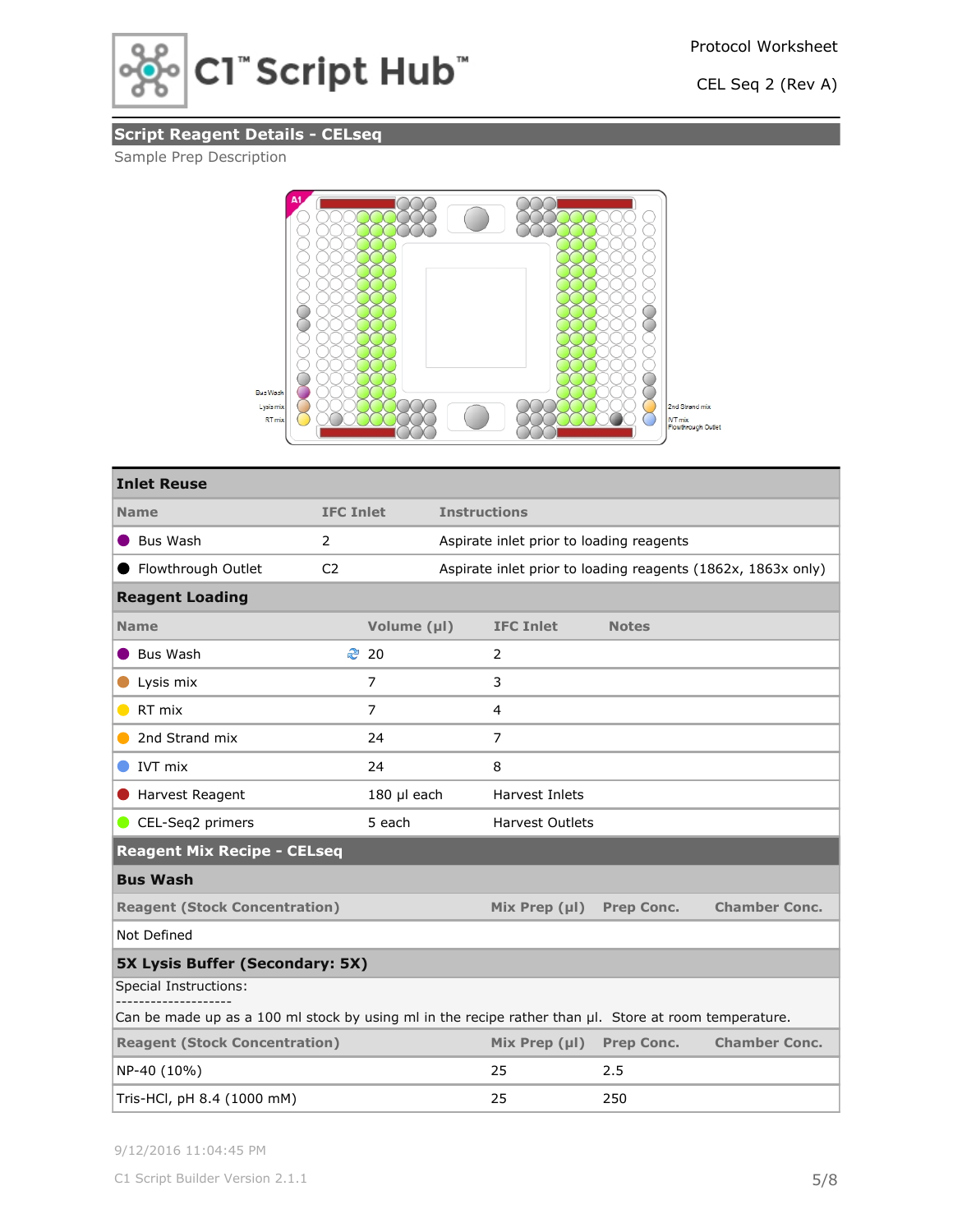

## **Script Reagent Details - CELseq**

## Sample Prep Description



| <b>Inlet Reuse</b>                                                                                    |                  |                |                                          |                        |                   |                                                              |
|-------------------------------------------------------------------------------------------------------|------------------|----------------|------------------------------------------|------------------------|-------------------|--------------------------------------------------------------|
| <b>Name</b>                                                                                           | <b>IFC Inlet</b> |                | <b>Instructions</b>                      |                        |                   |                                                              |
| Bus Wash                                                                                              | 2                |                | Aspirate inlet prior to loading reagents |                        |                   |                                                              |
| ● Flowthrough Outlet                                                                                  | C <sub>2</sub>   |                |                                          |                        |                   | Aspirate inlet prior to loading reagents (1862x, 1863x only) |
| <b>Reagent Loading</b>                                                                                |                  |                |                                          |                        |                   |                                                              |
| <b>Name</b>                                                                                           |                  | Volume (µl)    |                                          | <b>IFC Inlet</b>       | <b>Notes</b>      |                                                              |
| Bus Wash                                                                                              |                  | ₹ 20           |                                          | 2                      |                   |                                                              |
| Lysis mix                                                                                             |                  | $\overline{7}$ |                                          | 3                      |                   |                                                              |
| RT mix<br>$\bullet$                                                                                   |                  | $\overline{7}$ |                                          | 4                      |                   |                                                              |
| 2nd Strand mix                                                                                        |                  | 24             |                                          | $\overline{7}$         |                   |                                                              |
| IVT mix                                                                                               |                  | 24             |                                          | 8                      |                   |                                                              |
| Harvest Reagent                                                                                       |                  | 180 µl each    |                                          | Harvest Inlets         |                   |                                                              |
| CEL-Seq2 primers                                                                                      |                  | 5 each         |                                          | <b>Harvest Outlets</b> |                   |                                                              |
| <b>Reagent Mix Recipe - CELseq</b>                                                                    |                  |                |                                          |                        |                   |                                                              |
| <b>Bus Wash</b>                                                                                       |                  |                |                                          |                        |                   |                                                              |
| <b>Reagent (Stock Concentration)</b>                                                                  |                  |                |                                          | Mix Prep $(\mu I)$     | <b>Prep Conc.</b> | <b>Chamber Conc.</b>                                         |
| Not Defined                                                                                           |                  |                |                                          |                        |                   |                                                              |
| <b>5X Lysis Buffer (Secondary: 5X)</b>                                                                |                  |                |                                          |                        |                   |                                                              |
| Special Instructions:                                                                                 |                  |                |                                          |                        |                   |                                                              |
| Can be made up as a 100 ml stock by using ml in the recipe rather than µl. Store at room temperature. |                  |                |                                          |                        |                   |                                                              |
| <b>Reagent (Stock Concentration)</b>                                                                  |                  |                |                                          | Mix Prep $(\mu I)$     | <b>Prep Conc.</b> | <b>Chamber Conc.</b>                                         |
| NP-40 (10%)                                                                                           |                  |                |                                          | 25                     | 2.5               |                                                              |
| Tris-HCl, pH 8.4 (1000 mM)                                                                            |                  |                |                                          | 25                     | 250               |                                                              |

9/12/2016 11:04:45 PM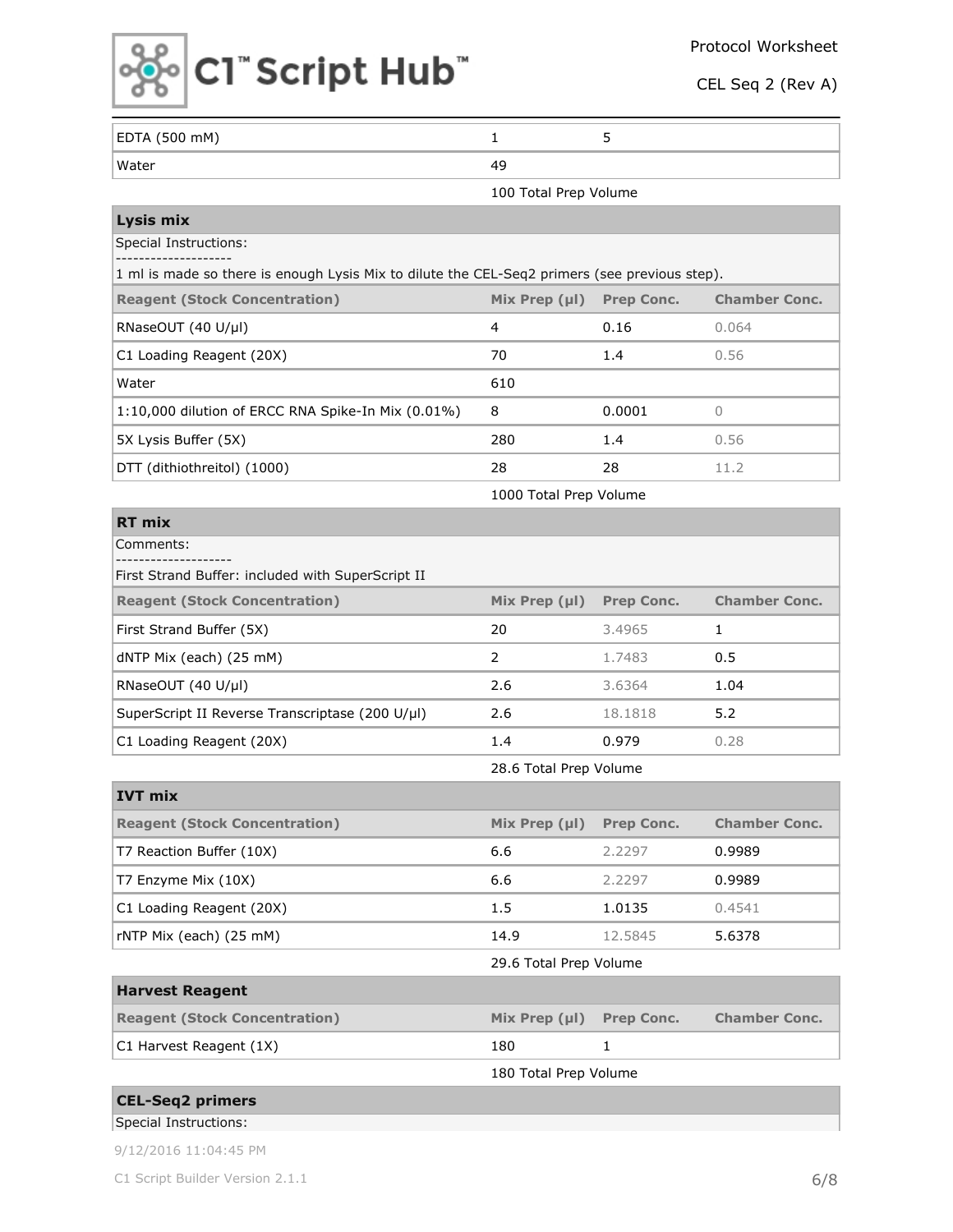

| EDTA (500 mM)                                                                                 | $\mathbf{1}$           | 5                 |                      |
|-----------------------------------------------------------------------------------------------|------------------------|-------------------|----------------------|
| Water                                                                                         | 49                     |                   |                      |
|                                                                                               | 100 Total Prep Volume  |                   |                      |
| Lysis mix                                                                                     |                        |                   |                      |
| <b>Special Instructions:</b>                                                                  |                        |                   |                      |
| 1 ml is made so there is enough Lysis Mix to dilute the CEL-Seq2 primers (see previous step). |                        |                   |                      |
| <b>Reagent (Stock Concentration)</b>                                                          | Mix Prep $(\mu I)$     | <b>Prep Conc.</b> | <b>Chamber Conc.</b> |
| RNaseOUT (40 U/µl)                                                                            | 4                      | 0.16              | 0.064                |
| C1 Loading Reagent (20X)                                                                      | 70                     | 1.4               | 0.56                 |
| Water                                                                                         | 610                    |                   |                      |
| 1:10,000 dilution of ERCC RNA Spike-In Mix (0.01%)                                            | 8                      | 0.0001            | 0                    |
| 5X Lysis Buffer (5X)                                                                          | 280                    | 1.4               | 0.56                 |
| DTT (dithiothreitol) (1000)                                                                   | 28                     | 28                | 11.2                 |
|                                                                                               | 1000 Total Prep Volume |                   |                      |
| <b>RT mix</b>                                                                                 |                        |                   |                      |
| Comments:                                                                                     |                        |                   |                      |
| First Strand Buffer: included with SuperScript II                                             |                        |                   |                      |
| <b>Reagent (Stock Concentration)</b>                                                          | Mix Prep $(\mu I)$     | <b>Prep Conc.</b> | <b>Chamber Conc.</b> |
| First Strand Buffer (5X)                                                                      | 20                     | 3.4965            | $\mathbf{1}$         |
| dNTP Mix (each) (25 mM)                                                                       | 2                      | 1.7483            | 0.5                  |
| RNaseOUT (40 U/µl)                                                                            | 2.6                    | 3.6364            | 1.04                 |
| SuperScript II Reverse Transcriptase (200 U/µl)                                               | 2.6                    | 18.1818           | 5.2                  |
| C1 Loading Reagent (20X)                                                                      | 1.4                    | 0.979             | 0.28                 |
|                                                                                               | 28.6 Total Prep Volume |                   |                      |
| <b>IVT mix</b>                                                                                |                        |                   |                      |
| <b>Reagent (Stock Concentration)</b>                                                          | Mix Prep (µl)          | <b>Prep Conc.</b> | <b>Chamber Conc.</b> |
| T7 Reaction Buffer (10X)                                                                      | 6.6                    | 2.2297            | 0.9989               |
| T7 Enzyme Mix (10X)                                                                           | 6.6                    | 2.2297            | 0.9989               |
| C1 Loading Reagent (20X)                                                                      | 1.5                    | 1.0135            | 0.4541               |
| rNTP Mix (each) (25 mM)                                                                       | 14.9                   | 12.5845           | 5.6378               |
|                                                                                               | 29.6 Total Prep Volume |                   |                      |
| <b>Harvest Reagent</b>                                                                        |                        |                   |                      |
| <b>Reagent (Stock Concentration)</b>                                                          | Mix Prep (µl)          | <b>Prep Conc.</b> | <b>Chamber Conc.</b> |
| C1 Harvest Reagent (1X)                                                                       | 180                    | 1                 |                      |
|                                                                                               | 180 Total Prep Volume  |                   |                      |
| <b>CEL-Seq2 primers</b>                                                                       |                        |                   |                      |
| Special Instructions:                                                                         |                        |                   |                      |

9/12/2016 11:04:45 PM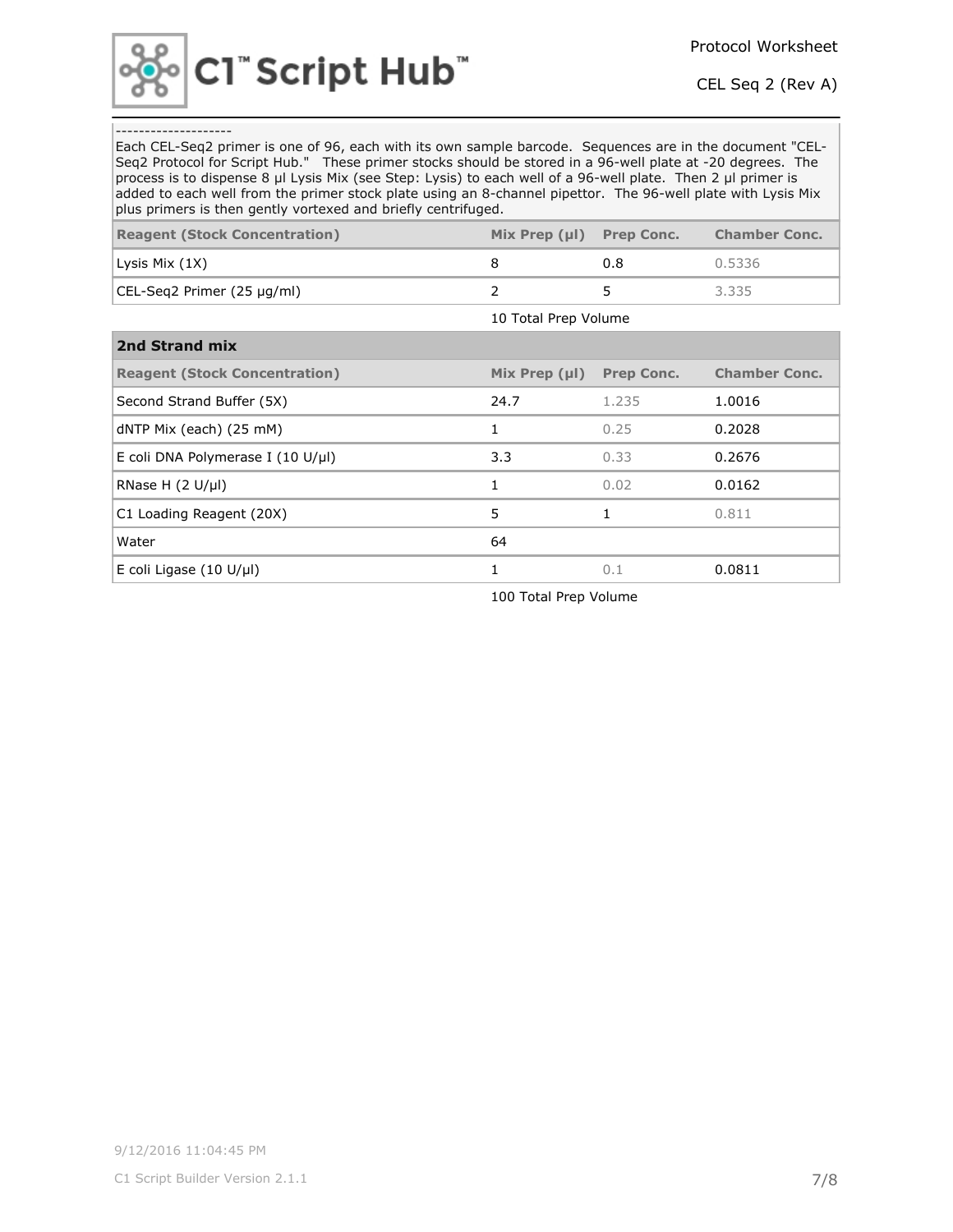

### --------------------

Each CEL-Seq2 primer is one of 96, each with its own sample barcode. Sequences are in the document "CEL-Seq2 Protocol for Script Hub." These primer stocks should be stored in a 96-well plate at -20 degrees. The process is to dispense 8 µl Lysis Mix (see Step: Lysis) to each well of a 96-well plate. Then 2 µl primer is added to each well from the primer stock plate using an 8-channel pipettor. The 96-well plate with Lysis Mix plus primers is then gently vortexed and briefly centrifuged.

| pias printets to citen genery vorcence and brieny centrinagear |                      |                   |                      |  |  |  |
|----------------------------------------------------------------|----------------------|-------------------|----------------------|--|--|--|
| <b>Reagent (Stock Concentration)</b>                           | Mix Prep $(\mu I)$   | <b>Prep Conc.</b> | <b>Chamber Conc.</b> |  |  |  |
| Lysis Mix (1X)                                                 | 8                    | 0.8               | 0.5336               |  |  |  |
| CEL-Seg2 Primer (25 µg/ml)                                     | 2                    | 5                 | 3.335                |  |  |  |
|                                                                | 10 Total Prep Volume |                   |                      |  |  |  |
| 2nd Strand mix                                                 |                      |                   |                      |  |  |  |
| <b>Reagent (Stock Concentration)</b>                           | Mix Prep $(\mu I)$   | <b>Prep Conc.</b> | <b>Chamber Conc.</b> |  |  |  |
| Second Strand Buffer (5X)                                      | 24.7                 | 1.235             | 1.0016               |  |  |  |
| dNTP Mix (each) (25 mM)                                        | 1                    | 0.25              | 0.2028               |  |  |  |
| E coli DNA Polymerase I (10 U/µl)                              | 3.3                  | 0.33              | 0.2676               |  |  |  |
| RNase H $(2 U/\mu)$                                            | 1                    | 0.02              | 0.0162               |  |  |  |
| C1 Loading Reagent (20X)                                       | 5                    | $\mathbf{1}$      | 0.811                |  |  |  |
| Water                                                          | 64                   |                   |                      |  |  |  |
| E coli Ligase $(10 \text{ U/}\mu\text{I})$                     | 1                    | 0.1               | 0.0811               |  |  |  |
|                                                                |                      |                   |                      |  |  |  |

100 Total Prep Volume